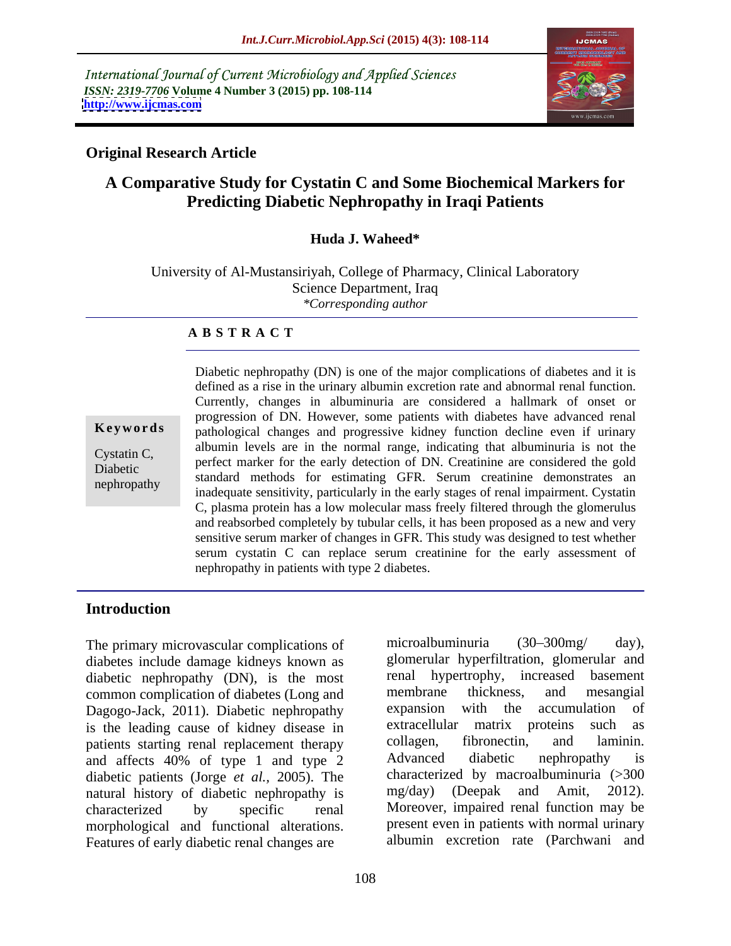International Journal of Current Microbiology and Applied Sciences *ISSN: 2319-7706* **Volume 4 Number 3 (2015) pp. 108-114 <http://www.ijcmas.com>**



# **Original Research Article**

# **A Comparative Study for Cystatin C and Some Biochemical Markers for Predicting Diabetic Nephropathy in Iraqi Patients**

## **Huda J. Waheed\***

University of Al-Mustansiriyah, College of Pharmacy, Clinical Laboratory Science Department, Iraq *\*Corresponding author*

### **A B S T R A C T**

nephropathy

Diabetic nephropathy (DN) is one of the major complications of diabetes and it is defined as a rise in the urinary albumin excretion rate and abnormal renal function. Currently, changes in albuminuria are considered a hallmark of onset or progression of DN. However, some patients with diabetes have advanced renal **Keywords** pathological changes and progressive kidney function decline even if urinary albumin levels are in the normal range, indicating that albuminuria is not the Cystatin C,<br>
perfect marker for the early detection of DN. Creatinine are considered the gold Diabetic<br>
standard methods for estimating GFR. Serum creatinine demonstrates an inadequate sensitivity, particularly in the early stages of renal impairment. Cystatin C, plasma protein has a low molecular mass freely filtered through the glomerulus and reabsorbed completely by tubular cells, it has been proposed as a new and very sensitive serum marker of changes in GFR. This study was designed to test whether serum cystatin C can replace serum creatinine for the early assessment of nephropathy in patients with type 2 diabetes.

# **Introduction**

diabetes include damage kidneys known as glomerular hyperfiltration, glomerular and diabetic nephropathy (DN), is the most renal hypertrophy, increased basement diabetic nephropathy (DN), is the most renal hypertrophy, increased basement common complication of diabetes (Long and membrane thickness, and mesangial common complication of diabetes (Long and membrane thickness, and mesangial<br>Dagogo-Jack 2011) Diabetic nephropathy expansion with the accumulation of Dagogo-Jack, 2011). Diabetic nephropathy expansion with the accumulation is the leading cause of kidney disease in extracellular matrix proteins such is the leading cause of kidney disease in extracellular matrix proteins such as nations starting renal replacement therapy collagen, fibronectin, and laminin. patients starting renal replacement therapy collagen, fibronectin, and lan<br>and affects 40% of type 1 and type 2 Advanced diabetic nephropathy and affects 40% of type 1 and type 2 Advanced diabetic nephropathy is diabetic patients (Jorge *et al.*, 2005). The characteri<br>natural history of diabetic nephropathy is  $mg/day$ ) natural history of diabetic nephropathy is characterized by specific renal Moreover, impaired renal function may be morphological and functional alterations. Features of early diabetic renal changes are

The primary microvascular complications of microalbuminuria (30–300 mg/day), microalbuminuria (30–300mg/ day), glomerular hyperfiltration, glomerular and renal hypertrophy, increased basement membrane thickness, and mesangial expansion with the accumulation of extracellular matrix proteins collagen, fibronectin, and laminin. Advanced diabetic nephropathy is characterized by macroalbuminuria (>300  $(Deepak and Amit, 2012).$ present even in patients with normal urinary albumin excretion rate (Parchwani and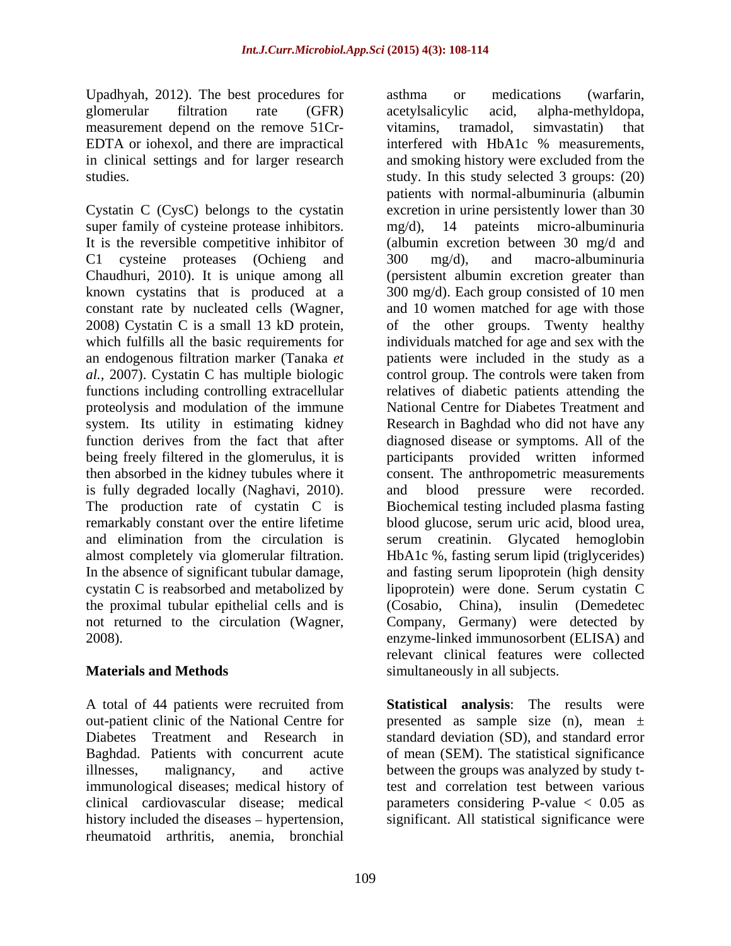Upadhyah, 2012). The best procedures for asthma or medications (warfarin, measurement depend on the remove 51Cr-<br>vitamins, tramadol, simvastatin) that

super family of cysteine protease inhibitors. mg/d), 14 pateints micro-albuminuria It is the reversible competitive inhibitor of C1 cysteine proteases (Ochieng and 300 mg/d), and macro-albuminuria proteolysis and modulation of the immune being freely filtered in the glomerulus, it is is fully degraded locally (Naghavi, 2010). almost completely via glomerular filtration. cystatin C is reabsorbed and metabolized by the proximal tubular epithelial cells and is (Cosabio, China), insulin (Demedetec

A total of 44 patients were recruited from out-patient clinic of the National Centre for presented as sample size (n), mean ± Diabetes Treatment and Research in standard deviation (SD), and standard error Baghdad. Patients with concurrent acute of mean (SEM). The statistical significance illnesses, malignancy, and active between the groups was analyzed by study timmunological diseases; medical history of clinical cardiovascular disease; medical parameters considering P-value < 0.05 as history included the diseases – hypertension, significant. All statistical significance were rheumatoid arthritis, anemia, bronchial

glomerular filtration rate (GFR) EDTA or iohexol, and there are impractical interfered with HbA1c % measurements, in clinical settings and for larger research and smoking history were excluded from the studies. study. In this study selected 3 groups: (20) Cystatin C (CysC) belongs to the cystatin excretion in urine persistently lower than 30 Chaudhuri, 2010). It is unique among all (persistent albumin excretion greater than known cystatins that is produced at a 300 mg/d). Each group consisted of 10 men constant rate by nucleated cells (Wagner, 2008) Cystatin <sup>C</sup> is <sup>a</sup> small <sup>13</sup> kD protein, which fulfills all the basic requirements for individuals matched for age and sex with the an endogenous filtration marker (Tanaka *et*  patients were included in the study as a *al.,* 2007). Cystatin C has multiple biologic control group. The controls were taken from functions including controlling extracellular relatives of diabetic patients attending the system. Its utility in estimating kidney Research in Baghdad who did not have any function derives from the fact that after diagnosed disease or symptoms. All of the then absorbed in the kidney tubules where it consent. The anthropometric measurements The production rate of cystatin C is Biochemical testing included plasma fasting remarkably constant over the entire lifetime blood glucose, serum uric acid, blood urea, and elimination from the circulation is serum creatinin. Glycated hemoglobin In the absence of significant tubular damage, and fasting serum lipoprotein (high density not returned to the circulation (Wagner, Company, Germany) were detected by enzyme-linked immunosorbent (ELISA) and **Materials and Methods** simultaneously in all subjects. asthma or medications (warfarin, acetylsalicylic acid, alpha-methyldopa, vitamins, tramadol, simvastatin) that patients with normal-albuminuria (albumin mg/d), 14 pateints micro-albuminuria (albumin excretion between 30 mg/d and 300 mg/d), and macro-albuminuria and 10 women matched for age with those of the other groups. Twenty healthy National Centre for Diabetes Treatment and participants provided written informed and blood pressure were recorded. HbA1c %, fasting serum lipid (triglycerides) lipoprotein) were done. Serum cystatin C (Cosabio, China), insulin (Demedetec Company, Germany) were detected by enzyme-linked immunosorbent (ELISA) and relevant clinical features were collected

> **Statistical analysis**: The results were test and correlation test between various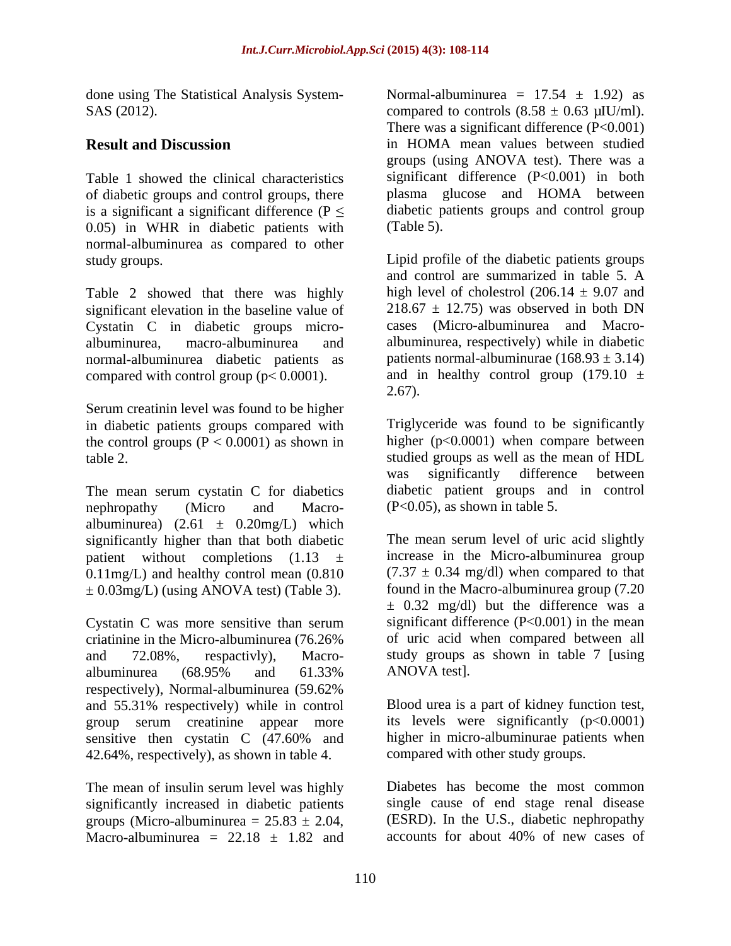done using The Statistical Analysis System- SAS (2012). compared to controls  $(8.58 \pm 0.63 \,\mu\text{I U/ml})$ .

of diabetic groups and control groups, there is a significant a significant difference ( $P \leq$ 0.05) in WHR in diabetic patients with normal-albuminurea as compared to other

Table 2 showed that there was highly significant elevation in the baseline value of Cystatin C in diabetic groups micro normal-albuminurea diabetic patients as compared with control group ( $p < 0.0001$ ).

Serum creatinin level was found to be higher in diabetic patients groups compared with the control groups  $(P < 0.0001)$  as shown in

The mean serum cystatin C for diabetics nephropathy (Micro and Macro- (P<0.05), as shown in table 5. albuminurea)  $(2.61 \pm 0.20$ mg/L) which significantly higher than that both diabetic patient without completions  $(1.13 \pm$ 0.11mg/L) and healthy control mean (0.810  $\pm$  0.03mg/L) (using ANOVA test) (Table 3).

Cystatin C was more sensitive than serum albuminurea (68.95% and 61.33% respectively), Normal-albuminurea (59.62% and 55.31% respectively) while in control group serum creatinine appear more sensitive then cystatin C (47.60% and 42.64%, respectively), as shown in table 4.

The mean of insulin serum level was highly significantly increased in diabetic patients groups (Micro-albuminurea =  $25.83 \pm 2.04$ , (ESRD). In the U.S., diabetic nephropathy<br>Macro-albuminurea =  $22.18 + 1.82$  and accounts for about 40% of new cases of Macro-albuminurea =  $22.18 \pm 1.82$  and

**Result and Discussion** in HOMA mean values between studied Table 1 showed the clinical characteristics significant difference (P<0.001) in both Normal-albuminurea =  $17.54 \pm 1.92$  as compared to controls  $(8.58 \pm 0.63 \,\mu\text{IU/ml})$ .<br>There was a significant difference  $(P<0.001)$ groups (using ANOVA test). There was a plasma glucose and HOMA between diabetic patients groups and control group (Table 5).

study groups. Lipid profile of the diabetic patients groups albuminurea, macro-albuminurea and albuminurea, respectively) while in diabetic and control are summarized in table 5. A high level of cholestrol  $(206.14 \pm 9.07)$  and  $218.67 \pm 12.75$ ) was observed in both DN cases (Micro-albuminurea and Macro patients normal-albuminurae  $(168.93 \pm 3.14)$ and in healthy control group  $(179.10 \pm$ 2.67).

table 2. studied groups as well as the mean of HDL Triglyceride was found to be significantly higher (p<0.0001) when compare between was significantly difference between diabetic patient groups and in control (P<0.05), as shown in table 5.

criatinine in the Micro-albuminurea (76.26% of uric acid when compared between all and 72.08%, respactivly), Macro- study groups as shown in table 7 [using The mean serum level of uric acid slightly increase in the Micro-albuminurea group  $(7.37 \pm 0.34 \text{ mg/dl})$  when compared to that found in the Macro-albuminurea group (7.20  $\pm$  0.32 mg/dl) but the difference was a significant difference (P<0.001) in the mean ANOVA test].

> Blood urea is a part of kidney function test, its levels were significantly  $(p<0.0001)$ higher in micro-albuminurae patients when compared with other study groups.

Diabetes has become the most common single cause of end stage renal disease (ESRD). In the U.S., diabetic nephropathy accounts for about 40% of new cases of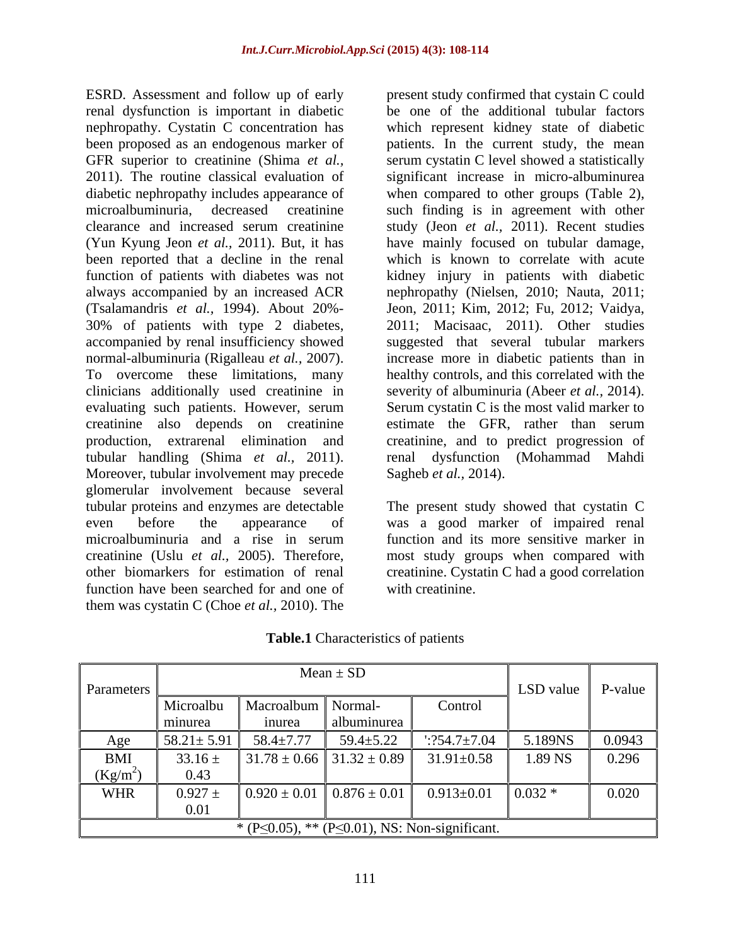ESRD. Assessment and follow up of early present study confirmed that cystain C could renal dysfunction is important in diabetic nephropathy. Cystatin C concentration has been proposed as an endogenous marker of patients. In the current study, the mean GFR superior to creatinine (Shima *et al.*, serum cystatin C level showed a statistically 2011). The routine classical evaluation of significant increase in micro-albuminurea diabetic nephropathy includes appearance of when compared to other groups (Table 2), microalbuminuria, decreased creatinine such finding is in agreement with other clearance and increased serum creatinine study (Jeon *et al.,* 2011). Recent studies (Yun Kyung Jeon *et al.,* 2011). But, it has have mainly focused on tubular damage, been reported that a decline in the renal function of patients with diabetes was not kidney injury in patients with diabetic always accompanied by an increased ACR nephropathy (Nielsen, 2010; Nauta, 2011; (Tsalamandris *et al.,* 1994). About 20%- 30% of patients with type 2 diabetes, 2011; Macisaac, 2011). Other studies accompanied by renal insufficiency showed suggested that several tubular markers normal-albuminuria (Rigalleau *et al.,* 2007). increase more in diabetic patients than in To overcome these limitations, many healthy controls, and this correlated with the clinicians additionally used creatinine in severity of albuminuria (Abeer *et al.,* 2014). evaluating such patients. However, serum Serum cystatin C is the most valid marker to creatinine also depends on creatinine production, extrarenal elimination and creatinine, and to predict progression of tubular handling (Shima *et al.,* 2011). renal dysfunction (Mohammad Mahdi Moreover, tubular involvement may precede Sagheb *et al.*, 2014). glomerular involvement because several tubular proteins and enzymes are detectable The present study showed that cystatin C even before the appearance of was a good marker of impaired renal microalbuminuria and a rise in serum function and its more sensitive marker in creatinine (Uslu *et al.,* 2005). Therefore, most study groups when compared with other biomarkers for estimation of renal creatinine. Cystatin C had a good correlation function have been searched for and one of them was cystatin C (Choe *et al.,* 2010). The

be one of the additional tubular factors which represent kidney state of diabetic which is known to correlate with acute Jeon, 2011; Kim, 2012; Fu, 2012; Vaidya, 2011; Macisaac, 2011). Other studies estimate the GFR, rather than serum Sagheb *et al.,* 2014).

with creatinine.

|                                                             |                  |                                   | $Mean \pm SD$                     |                     |           |         |
|-------------------------------------------------------------|------------------|-----------------------------------|-----------------------------------|---------------------|-----------|---------|
| Parameters                                                  |                  |                                   |                                   |                     | LSD value | P-value |
|                                                             | Microalbu        | Macroalbum Normal-                |                                   | Control             |           |         |
|                                                             | minurea          | inurea                            | albuminurea                       |                     |           |         |
|                                                             | $58.21 \pm 5.91$ | $58.4 \pm 7.77$                   | $59.4 \pm 5.22$                   | $\cdot$ :254.7±7.04 | 5.189NS   | 0.0943  |
| BMI                                                         | $33.16 \pm$      |                                   | $31.78 \pm 0.66$ 31.32 $\pm$ 0.89 | $31.91 \pm 0.58$    | 1.89 NS   | 0.296   |
| $(Kg/m^2)$                                                  | 0.43             |                                   |                                   |                     |           |         |
| WHR                                                         | $0.927 \pm$      | $0.920 \pm 0.01$ $0.876 \pm 0.01$ |                                   | $0.913 \pm 0.01$    | $0.032*$  | 0.020   |
|                                                             |                  |                                   |                                   |                     |           |         |
| * (P $\leq$ 0.05), ** (P $\leq$ 0.01), NS: Non-significant. |                  |                                   |                                   |                     |           |         |

**Table.1** Characteristics of patients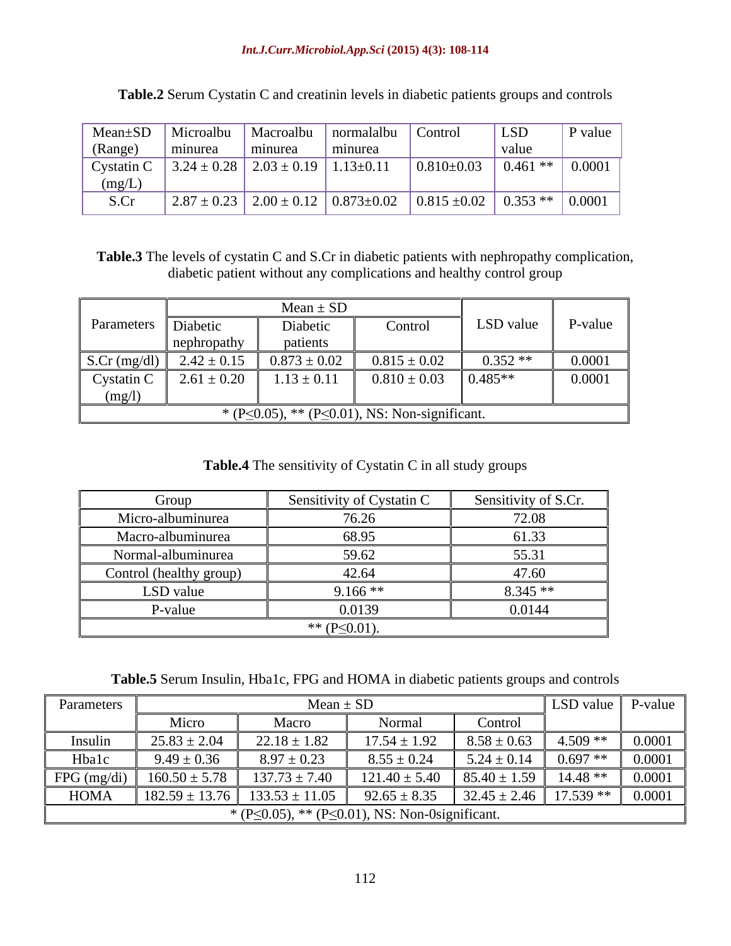### *Int.J.Curr.Microbiol.App.Sci* **(2015) 4(3): 108-114**

|         |                                                            |         | Mean±SD   Microalbu   Macroalbu   normalalbu   Control |                                                                                                                 | LSD   | P value |
|---------|------------------------------------------------------------|---------|--------------------------------------------------------|-----------------------------------------------------------------------------------------------------------------|-------|---------|
| (Range) | minurea                                                    | minurea | minurea                                                |                                                                                                                 | value |         |
|         | Cystatin C $\Big  3.24 \pm 0.28 \Big  2.03 \pm 0.19 \Big $ |         | $1.13 \pm 0.11$                                        | $\vert 0.810 \pm 0.03 \vert 0.461 \ast \ast$                                                                    |       | 0.0001  |
| (mg/L)  |                                                            |         |                                                        |                                                                                                                 |       |         |
| S.C     |                                                            |         |                                                        | $\vert 2.87 \pm 0.23 \vert 2.00 \pm 0.12 \vert 0.873 \pm 0.02 \vert 0.815 \pm 0.02 \vert 0.353 \ast \ast \vert$ |       | 0.0001  |

**Table.2** Serum Cystatin C and creatinin levels in diabetic patients groups and controls

**Table.3** The levels of cystatin C and S.Cr in diabetic patients with nephropathy complication, diabetic patient without any complications and healthy control group

|                                                             |                   | $Mean \pm SD$                             |                          |           |         |
|-------------------------------------------------------------|-------------------|-------------------------------------------|--------------------------|-----------|---------|
| Parameters Diabetic                                         | nephropathy       | Diabetic<br>patients                      | Control                  | LSD value | P-value |
|                                                             |                   | S.Cr (mg/dl)   2.42 ± 0.15   0.873 ± 0.02 | $0.815 \pm 0.02$         | $0.352**$ | 0.0001  |
| Cystatin C                                                  | $1.2.61 \pm 0.20$ | 10.011                                    | $0.810 \pm 0.03$ 0.485** |           | 0.0001  |
| (mg/l)                                                      |                   |                                           |                          |           |         |
| * (P $\leq$ 0.05), ** (P $\leq$ 0.01), NS: Non-significant. |                   |                                           |                          |           |         |

**Table.4** The sensitivity of Cystatin C in all study groups

| Group                   | Sensitivity of Cystatin C | Sensitivity of S.Cr. |
|-------------------------|---------------------------|----------------------|
| Micro-albuminurea       | 76.26                     | 72.08                |
| Macro-albuminurea       | 68.95                     | 61.33                |
| Normal-albuminurea      | 59.62                     | 55.7<br>JJ.J         |
| Control (healthy group) | 42.64                     | 47.60                |
| LSD value               | $9.166**$                 | $8.345**$            |
| P-value                 | 0.0139                    | 0.0144               |
|                         | ** $(P \le 0.01)$ .       |                      |

**Table.5** Serum Insulin, Hba1c, FPG and HOMA in diabetic patients groups and controls

| Parameters    |                                                              | Mean $\pm$ SD      |                                                                                    |                                                     | <b>LSD</b> value <b>P</b> -value |        |  |
|---------------|--------------------------------------------------------------|--------------------|------------------------------------------------------------------------------------|-----------------------------------------------------|----------------------------------|--------|--|
|               | Micro                                                        | Macro              | Normal                                                                             | Control                                             |                                  |        |  |
| Insulin       | $25.83 \pm 2.04$                                             | $22.18 \pm 1.82$   | $17.54 \pm 1.92$                                                                   | $8.58 \pm 0.63$ 4.509 **                            |                                  | 0.0001 |  |
| Hbalc         | $9.49 \pm 0.36$                                              | $8.97 \pm 0.23$    | $8.55 \pm 0.24$                                                                    | $\vert 5.24 \pm 0.14 \vert 0.697 \cdot \cdot \cdot$ |                                  | 0.0001 |  |
| $FPG$ (mg/di) |                                                              |                    | $121.40 \pm 5.40$   85.40 $\pm 1.59$   14.48 **                                    |                                                     |                                  | 0.0001 |  |
| HOMA          | $182.59 \pm 13.76$                                           | $133.53 \pm 11.05$ | $92.65 \pm 8.35$ $\left  32.45 \pm 2.46 \right $ 17.539 ** $\left  0.0001 \right $ |                                                     |                                  |        |  |
|               | * (P $\leq$ 0.05), ** (P $\leq$ 0.01), NS: Non-0significant. |                    |                                                                                    |                                                     |                                  |        |  |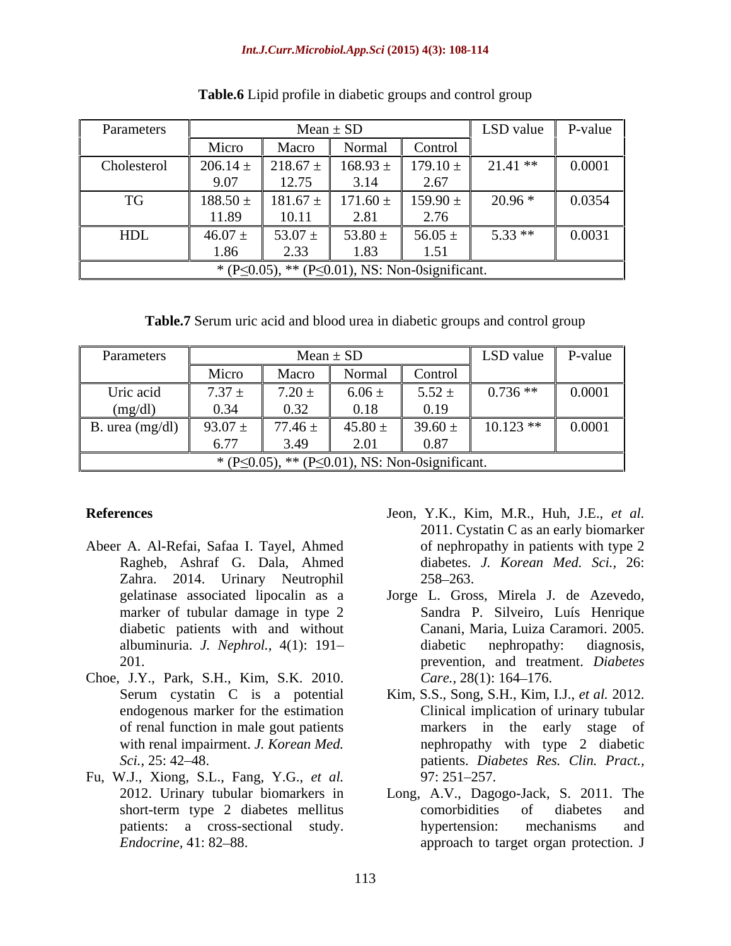### *Int.J.Curr.Microbiol.App.Sci* **(2015) 4(3): 108-114**

| Parameters                                                   |             | $Mean \pm SL$         |              |              | LSD value  | P-value |
|--------------------------------------------------------------|-------------|-----------------------|--------------|--------------|------------|---------|
|                                                              | Micro       | Macro                 | Normal       | Control      |            |         |
| Cholesterol                                                  | 206.14:     | $218.67 \pm$          | $168.93 \pm$ | $179.10 \pm$ | $21.41$ ** | 0.0001  |
|                                                              | 9.07        | 12.75<br>12.1J        | 3.14         | 2.67         |            |         |
| TG                                                           | 188.50      | $181.67 \pm$          | $171.60 \pm$ | 159.90 $\pm$ | $20.96*$   | 0.0354  |
|                                                              | 11.89       | 10.11                 | 2.81         | 2.76         |            |         |
| HDL                                                          | $46.07 \pm$ | 53.07 $\pm$           | 53.80 $\pm$  | 56.05 $\pm$  | $5.33**$   | 0.0031  |
|                                                              | 1.86        | $\Delta$ . J $\Delta$ | 1.83         | 1.51         |            |         |
| * (P $\leq$ 0.05), ** (P $\leq$ 0.01), NS: Non-0significant. |             |                       |              |              |            |         |

**Table.6** Lipid profile in diabetic groups and control group

**Table.7** Serum uric acid and blood urea in diabetic groups and control group

| Parameters                                                   |              | $Mean \pm SD$ |               |            | LSD value  | $P$ -value |
|--------------------------------------------------------------|--------------|---------------|---------------|------------|------------|------------|
|                                                              | Micro        | Macro         | Normal        | Control    |            |            |
| Uric acid                                                    | $7.37 \pm$   | $7.20 \pm$    | $6.06 \pm$    | $5.52 \pm$ | $0.736**$  | 0.0001     |
| (mg/dl)                                                      | 0.34         | 0.32          | 0.18          | 0.19       |            |            |
| <b>B.</b> urea (mg/dl)                                       | 93.07 $\pm$  | $77.46 \pm$   | 45.80:        | 39.60      | $10.123**$ | 0.0001     |
|                                                              | - --<br>6.77 | 3/40          | $2.0^{\circ}$ | 0.87       |            |            |
| * (P $\leq$ 0.05), ** (P $\leq$ 0.01), NS: Non-0significant. |              |               |               |            |            |            |

- Abeer A. Al-Refai, Safaa I. Tayel, Ahmed Ragheb, Ashraf G. Dala, Ahmed Zahra. 2014. Urinary Neutrophil 258–263.<br>gelatinase associated lipocalin as a Jorge L. Gros
- Choe, J.Y., Park, S.H., Kim, S.K. 2010.
- Fu, W.J., Xiong, S.L., Fang, Y.G., *et al.*
- **References** Jeon, Y.K., Kim, M.R., Huh, J.E., *et al.* 2011. Cystatin C as an early biomarker of nephropathy in patients with type 2 diabetes. *J. Korean Med. Sci.,* 26:  $258 - 263$ .
	- Jorge L. Gross, Mirela J. de Azevedo, marker of tubular damage in type 2 Sandra P. Silveiro, Luís Henrique diabetic patients with and without Canani, Maria, Luiza Caramori. 2005. albuminuria. *J. Nephrol.,* 4(1): 191 201. prevention, and treatment. *Diabetes*  Jorge L. Gross, Mirela J. de Azevedo, Sandra P. Silveiro, Luís Henrique diabetic nephropathy: diagnosis, *Care.,* 28(1): 164–176.
	- Serum cystatin C is a potential Kim, S.S., Song, S.H., Kim, I.J., *et al.* 2012. endogenous marker for the estimation Clinical implication of urinary tubular of renal function in male gout patients markers in the early stage of with renal impairment. *J. Korean Med*. *nephropathy with type 2 diabetic Sci.,* 25: 42 48. patients. *Diabetes Res. Clin. Pract.,* 97: 251 257.
	- 2012. Urinary tubular biomarkers in Long, A.V., Dagogo-Jack, S. 2011. The short-term type 2 diabetes mellitus patients: a cross-sectional study. hypertension: mechanisms and *Endocrine*, 41: 82–88. **approach** to target organ protection. J comorbidities of diabetes and hypertension: mechanisms and